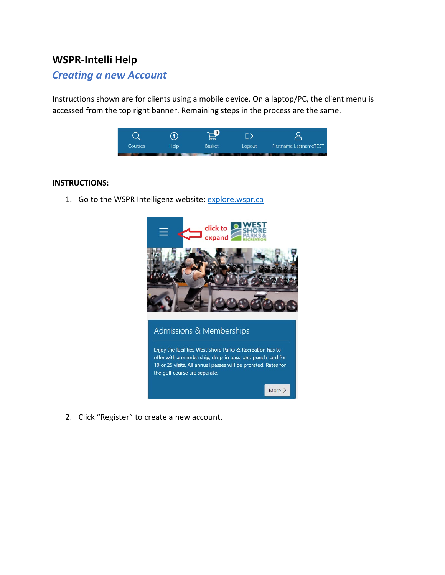# **WSPR-Intelli Help**

## *Creating a new Account*

Instructions shown are for clients using a mobile device. On a laptop/PC, the client menu is accessed from the top right banner. Remaining steps in the process are the same.



#### **INSTRUCTIONS:**

1. Go to the WSPR Intelligenz website: [explore.wspr.ca](https://explore.wspr.ca/)



2. Click "Register" to create a new account.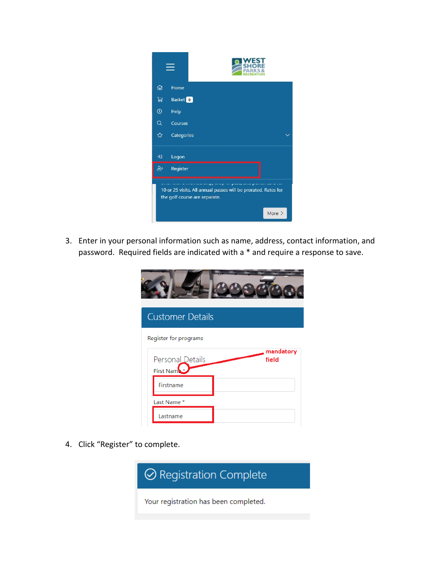

3. Enter in your personal information such as name, address, contact information, and password. Required fields are indicated with a \* and require a response to save.

| <b>Customer Details</b>       |                    |
|-------------------------------|--------------------|
| Register for programs         |                    |
| Personal Details<br>First Nam | mandatory<br>field |
| Firstname                     |                    |
| Last Name *                   |                    |
| Lastname                      |                    |

4. Click "Register" to complete.

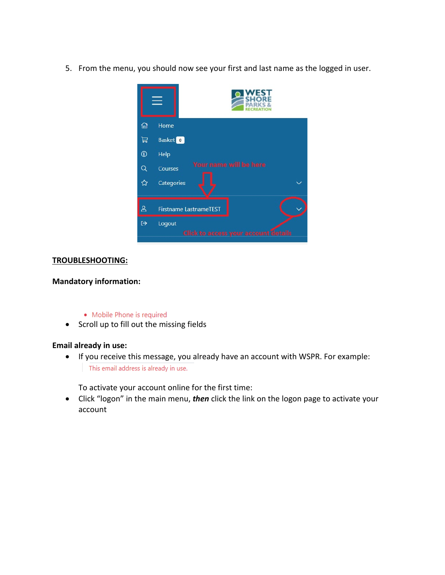5. From the menu, you should now see your first and last name as the logged in user.



#### **TROUBLESHOOTING:**

### **Mandatory information:**

- Mobile Phone is required
- Scroll up to fill out the missing fields

#### **Email already in use:**

• If you receive this message, you already have an account with WSPR. For example: This email address is already in use.

To activate your account online for the first time:

• Click "logon" in the main menu, *then* click the link on the logon page to activate your account